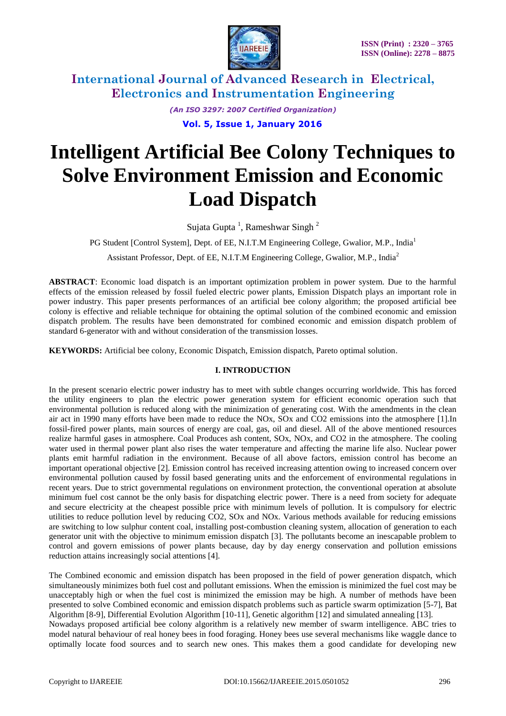

*(An ISO 3297: 2007 Certified Organization)*

 **Vol. 5, Issue 1, January 2016**

# **Intelligent Artificial Bee Colony Techniques to Solve Environment Emission and Economic Load Dispatch**

Sujata Gupta<sup>1</sup>, Rameshwar Singh<sup>2</sup>

PG Student [Control System], Dept. of EE, N.I.T.M Engineering College, Gwalior, M.P., India<sup>1</sup>

Assistant Professor, Dept. of EE, N.I.T.M Engineering College, Gwalior, M.P., India<sup>2</sup>

**ABSTRACT**: Economic load dispatch is an important optimization problem in power system. Due to the harmful effects of the emission released by fossil fueled electric power plants, Emission Dispatch plays an important role in power industry. This paper presents performances of an artificial bee colony algorithm; the proposed artificial bee colony is effective and reliable technique for obtaining the optimal solution of the combined economic and emission dispatch problem. The results have been demonstrated for combined economic and emission dispatch problem of standard 6-generator with and without consideration of the transmission losses.

**KEYWORDS:** Artificial bee colony, Economic Dispatch, Emission dispatch, Pareto optimal solution.

# **I. INTRODUCTION**

In the present scenario electric power industry has to meet with subtle changes occurring worldwide. This has forced the utility engineers to plan the electric power generation system for efficient economic operation such that environmental pollution is reduced along with the minimization of generating cost. With the amendments in the clean air act in 1990 many efforts have been made to reduce the NOx, SOx and CO2 emissions into the atmosphere [1].In fossil-fired power plants, main sources of energy are coal, gas, oil and diesel. All of the above mentioned resources realize harmful gases in atmosphere. Coal Produces ash content, SOx, NOx, and CO2 in the atmosphere. The cooling water used in thermal power plant also rises the water temperature and affecting the marine life also. Nuclear power plants emit harmful radiation in the environment. Because of all above factors, emission control has become an important operational objective [2]. Emission control has received increasing attention owing to increased concern over environmental pollution caused by fossil based generating units and the enforcement of environmental regulations in recent years. Due to strict governmental regulations on environment protection, the conventional operation at absolute minimum fuel cost cannot be the only basis for dispatching electric power. There is a need from society for adequate and secure electricity at the cheapest possible price with minimum levels of pollution. It is compulsory for electric utilities to reduce pollution level by reducing CO2, SOx and NOx. Various methods available for reducing emissions are switching to low sulphur content coal, installing post-combustion cleaning system, allocation of generation to each generator unit with the objective to minimum emission dispatch [3]. The pollutants become an inescapable problem to control and govern emissions of power plants because, day by day energy conservation and pollution emissions reduction attains increasingly social attentions [4].

The Combined economic and emission dispatch has been proposed in the field of power generation dispatch, which simultaneously minimizes both fuel cost and pollutant emissions. When the emission is minimized the fuel cost may be unacceptably high or when the fuel cost is minimized the emission may be high. A number of methods have been presented to solve Combined economic and emission dispatch problems such as particle swarm optimization [5-7], Bat Algorithm [8-9], Differential Evolution Algorithm [10-11], Genetic algorithm [12] and simulated annealing [13]. Nowadays proposed artificial bee colony algorithm is a relatively new member of swarm intelligence. ABC tries to model natural behaviour of real honey bees in food foraging. Honey bees use several mechanisms like waggle dance to optimally locate food sources and to search new ones. This makes them a good candidate for developing new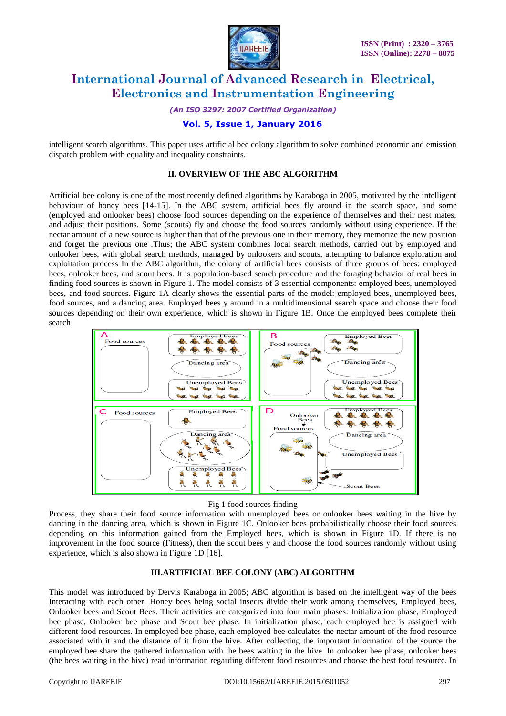

*(An ISO 3297: 2007 Certified Organization)*

# **Vol. 5, Issue 1, January 2016**

intelligent search algorithms. This paper uses artificial bee colony algorithm to solve combined economic and emission dispatch problem with equality and inequality constraints.

# **II. OVERVIEW OF THE ABC ALGORITHM**

Artificial bee colony is one of the most recently defined algorithms by Karaboga in 2005, motivated by the intelligent behaviour of honey bees [14-15]. In the ABC system, artificial bees fly around in the search space, and some (employed and onlooker bees) choose food sources depending on the experience of themselves and their nest mates, and adjust their positions. Some (scouts) fly and choose the food sources randomly without using experience. If the nectar amount of a new source is higher than that of the previous one in their memory, they memorize the new position and forget the previous one .Thus; the ABC system combines local search methods, carried out by employed and onlooker bees, with global search methods, managed by onlookers and scouts, attempting to balance exploration and exploitation process In the ABC algorithm, the colony of artificial bees consists of three groups of bees: employed bees, onlooker bees, and scout bees. It is population-based search procedure and the foraging behavior of real bees in finding food sources is shown in Figure 1. The model consists of 3 essential components: employed bees, unemployed bees, and food sources. Figure 1A clearly shows the essential parts of the model: employed bees, unemployed bees, food sources, and a dancing area. Employed bees y around in a multidimensional search space and choose their food sources depending on their own experience, which is shown in Figure 1B. Once the employed bees complete their search



# Fig 1 food sources finding

Process, they share their food source information with unemployed bees or onlooker bees waiting in the hive by dancing in the dancing area, which is shown in Figure 1C. Onlooker bees probabilistically choose their food sources depending on this information gained from the Employed bees, which is shown in Figure 1D. If there is no improvement in the food source (Fitness), then the scout bees y and choose the food sources randomly without using experience, which is also shown in Figure 1D [16].

# **III.ARTIFICIAL BEE COLONY (ABC) ALGORITHM**

This model was introduced by Dervis Karaboga in 2005; ABC algorithm is based on the intelligent way of the bees Interacting with each other. Honey bees being social insects divide their work among themselves, Employed bees, Onlooker bees and Scout Bees. Their activities are categorized into four main phases: Initialization phase, Employed bee phase, Onlooker bee phase and Scout bee phase. In initialization phase, each employed bee is assigned with different food resources. In employed bee phase, each employed bee calculates the nectar amount of the food resource associated with it and the distance of it from the hive. After collecting the important information of the source the employed bee share the gathered information with the bees waiting in the hive. In onlooker bee phase, onlooker bees (the bees waiting in the hive) read information regarding different food resources and choose the best food resource. In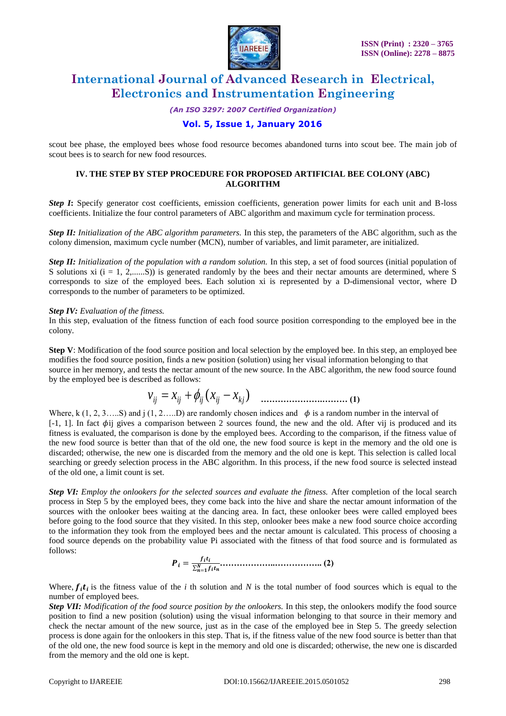

*(An ISO 3297: 2007 Certified Organization)*

# **Vol. 5, Issue 1, January 2016**

scout bee phase, the employed bees whose food resource becomes abandoned turns into scout bee. The main job of scout bees is to search for new food resources.

# **IV. THE STEP BY STEP PROCEDURE FOR PROPOSED ARTIFICIAL BEE COLONY (ABC) ALGORITHM**

**Step I:** Specify generator cost coefficients, emission coefficients, generation power limits for each unit and B-loss coefficients. Initialize the four control parameters of ABC algorithm and maximum cycle for termination process.

*Step II: Initialization of the ABC algorithm parameters.* In this step, the parameters of the ABC algorithm, such as the colony dimension, maximum cycle number (MCN), number of variables, and limit parameter, are initialized.

*Step II: Initialization of the population with a random solution.* In this step, a set of food sources (initial population of S solutions xi  $(i = 1, 2, \ldots, S)$  is generated randomly by the bees and their nectar amounts are determined, where S corresponds to size of the employed bees. Each solution xi is represented by a D-dimensional vector, where D corresponds to the number of parameters to be optimized.

#### *Step IV: Evaluation of the fitness.*

In this step, evaluation of the fitness function of each food source position corresponding to the employed bee in the colony.

**Step V**: Modification of the food source position and local selection by the employed bee. In this step, an employed bee modifies the food source position, finds a new position (solution) using her visual information belonging to that source in her memory, and tests the nectar amount of the new source. In the ABC algorithm, the new food source found by the employed bee is described as follows:

$$
v_{ij} = x_{ij} + \phi_{ij} (x_{ij} - x_{kj})
$$
 ....... (1)

Where, k  $(1, 2, 3, \ldots S)$  and j  $(1, 2, \ldots D)$  are randomly chosen indices and  $\phi$  is a random number in the interval of [-1, 1]. In fact  $\phi$ ij gives a comparison between 2 sources found, the new and the old. After vij is produced and its fitness is evaluated, the comparison is done by the employed bees. According to the comparison, if the fitness value of the new food source is better than that of the old one, the new food source is kept in the memory and the old one is discarded; otherwise, the new one is discarded from the memory and the old one is kept. This selection is called local searching or greedy selection process in the ABC algorithm. In this process, if the new food source is selected instead of the old one, a limit count is set.

*Step VI: Employ the onlookers for the selected sources and evaluate the fitness. After completion of the local search* process in Step 5 by the employed bees, they come back into the hive and share the nectar amount information of the sources with the onlooker bees waiting at the dancing area. In fact, these onlooker bees were called employed bees before going to the food source that they visited. In this step, onlooker bees make a new food source choice according to the information they took from the employed bees and the nectar amount is calculated. This process of choosing a food source depends on the probability value Pi associated with the fitness of that food source and is formulated as follows:

 = = **………………..…………….. (2)**

Where,  $f_i t_i$  is the fitness value of the *i* th solution and *N* is the total number of food sources which is equal to the number of employed bees.

*Step VII: Modification of the food source position by the onlookers.* **In this step, the onlookers modify the food source** position to find a new position (solution) using the visual information belonging to that source in their memory and check the nectar amount of the new source, just as in the case of the employed bee in Step 5. The greedy selection process is done again for the onlookers in this step. That is, if the fitness value of the new food source is better than that of the old one, the new food source is kept in the memory and old one is discarded; otherwise, the new one is discarded from the memory and the old one is kept.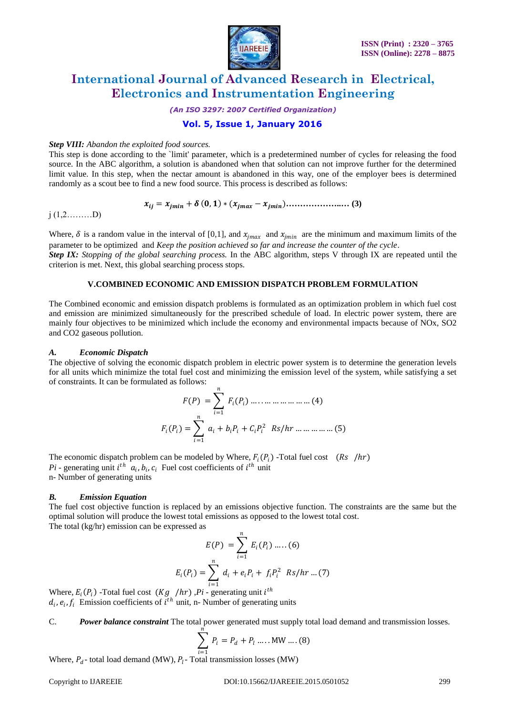

*(An ISO 3297: 2007 Certified Organization)*

# **Vol. 5, Issue 1, January 2016**

#### *Step VIII: Abandon the exploited food sources.*

This step is done according to the `limit' parameter, which is a predetermined number of cycles for releasing the food source. In the ABC algorithm, a solution is abandoned when that solution can not improve further for the determined limit value. In this step, when the nectar amount is abandoned in this way, one of the employer bees is determined randomly as a scout bee to find a new food source. This process is described as follows:

= + , ∗ ( − )**………………..… (3)**

 $j$  (1,2………D)

Where,  $\delta$  is a random value in the interval of [0,1], and  $x_{imax}$  and  $x_{imin}$  are the minimum and maximum limits of the parameter to be optimized and *Keep the position achieved so far and increase the counter of the cycle*. *Step IX: Stopping of the global searching process.* In the ABC algorithm, steps V through IX are repeated until the

criterion is met. Next, this global searching process stops.

#### **V.COMBINED ECONOMIC AND EMISSION DISPATCH PROBLEM FORMULATION**

The Combined economic and emission dispatch problems is formulated as an optimization problem in which fuel cost and emission are minimized simultaneously for the prescribed schedule of load. In electric power system, there are mainly four objectives to be minimized which include the economy and environmental impacts because of NOx, SO2 and CO2 gaseous pollution.

#### *A. Economic Dispatch*

The objective of solving the economic dispatch problem in electric power system is to determine the generation levels for all units which minimize the total fuel cost and minimizing the emission level of the system, while satisfying a set of constraints. It can be formulated as follows:

$$
F(P) = \sum_{i=1}^{n} F_i(P_i) \dots \dots \dots \dots \dots \dots \dots \dots (4)
$$

$$
F_i(P_i) = \sum_{i=1}^{n} a_i + b_i P_i + C_i P_i^2 \quad \text{Rs/hr} \dots \dots \dots \dots \dots (5)
$$

The economic dispatch problem can be modeled by Where,  $F_i(P_i)$  -Total fuel cost  $(Rs / hr)$  $Pi$  - generating unit  $i^{th}$   $a_i$ ,  $b_i$ ,  $c_i$  Fuel cost coefficients of  $i^{th}$  unit n- Number of generating units

# *B. Emission Equation*

The fuel cost objective function is replaced by an emissions objective function. The constraints are the same but the optimal solution will produce the lowest total emissions as opposed to the lowest total cost. The total (kg/hr) emission can be expressed as

$$
E(P) = \sum_{i=1}^{n} E_i(P_i) .......(6)
$$
  

$$
E_i(P_i) = \sum_{i=1}^{n} d_i + e_i P_i + f_i P_i^2 \text{ Rs/hr} ... (7)
$$

Where,  $E_i(P_i)$  -Total fuel cost  $(Kg / hr)$ ,  $Pi$  - generating unit  $i^{th}$  $d_i$ ,  $e_i$ ,  $f_i$  Emission coefficients of  $i^{th}$  unit, n- Number of generating units

C. *Power balance constraint* The total power generated must supply total load demand and transmission losses.

$$
\sum_{i=1}^{n} P_i = P_d + P_l \dots . \text{MW} \dots . (8)
$$

Where,  $P_d$ - total load demand (MW),  $P_l$ - Total transmission losses (MW)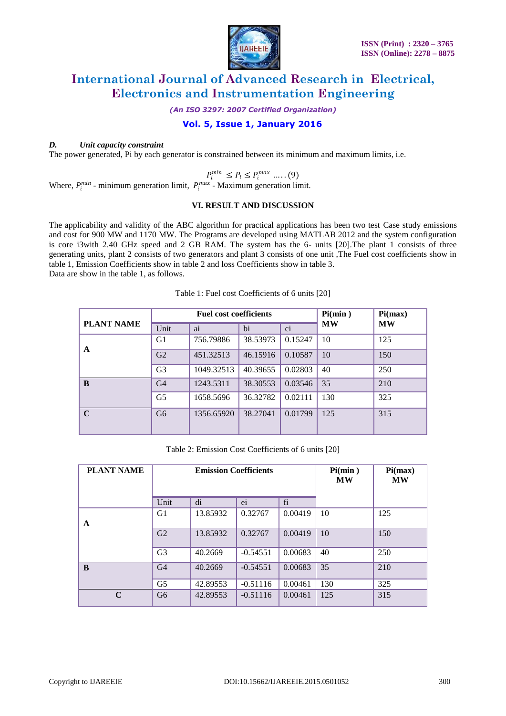

*(An ISO 3297: 2007 Certified Organization)*

# **Vol. 5, Issue 1, January 2016**

# *D. Unit capacity constraint*

The power generated, Pi by each generator is constrained between its minimum and maximum limits, i.e.

$$
P_i^{min} \le P_i \le P_i^{max} \dots (9)
$$

Where,  $P_i^{min}$  - minimum generation limit,  $P_i^{max}$  - Maximum generation limit.

# **VI. RESULT AND DISCUSSION**

The applicability and validity of the ABC algorithm for practical applications has been two test Case study emissions and cost for 900 MW and 1170 MW. The Programs are developed using MATLAB 2012 and the system configuration is core i3with 2.40 GHz speed and 2 GB RAM. The system has the 6- units [20].The plant 1 consists of three generating units, plant 2 consists of two generators and plant 3 consists of one unit ,The Fuel cost coefficients show in table 1, Emission Coefficients show in table 2 and loss Coefficients show in table 3. Data are show in the table 1, as follows.

|                   | <b>Fuel cost coefficients</b> |            |          |         | Pi(min)   | Pi(max)   |
|-------------------|-------------------------------|------------|----------|---------|-----------|-----------|
| <b>PLANT NAME</b> | Unit                          | ai         | bi       | ci      | <b>MW</b> | <b>MW</b> |
| A                 | G1                            | 756.79886  | 38.53973 | 0.15247 | 10        | 125       |
|                   | G2                            | 451.32513  | 46.15916 | 0.10587 | 10        | 150       |
|                   | G <sub>3</sub>                | 1049.32513 | 40.39655 | 0.02803 | 40        | 250       |
| B                 | G <sub>4</sub>                | 1243.5311  | 38.30553 | 0.03546 | 35        | 210       |
|                   | G <sub>5</sub>                | 1658.5696  | 36.32782 | 0.02111 | 130       | 325       |
| $\mathbf C$       | G <sub>6</sub>                | 1356.65920 | 38.27041 | 0.01799 | 125       | 315       |
|                   |                               |            |          |         |           |           |

# Table 1: Fuel cost Coefficients of 6 units [20]

Table 2: Emission Cost Coefficients of 6 units [20]

| <b>PLANT NAME</b> | <b>Emission Coefficients</b> |          |            |         | Pi(min)<br><b>MW</b> | Pi(max)<br><b>MW</b> |
|-------------------|------------------------------|----------|------------|---------|----------------------|----------------------|
|                   | Unit                         | di       | ei         | fi      |                      |                      |
| A                 | G <sub>1</sub>               | 13.85932 | 0.32767    | 0.00419 | 10                   | 125                  |
|                   | G2                           | 13.85932 | 0.32767    | 0.00419 | 10                   | 150                  |
|                   | G <sub>3</sub>               | 40.2669  | $-0.54551$ | 0.00683 | 40                   | 250                  |
| B                 | G <sub>4</sub>               | 40.2669  | $-0.54551$ | 0.00683 | 35                   | 210                  |
|                   | G <sub>5</sub>               | 42.89553 | $-0.51116$ | 0.00461 | 130                  | 325                  |
| C                 | G <sub>6</sub>               | 42.89553 | $-0.51116$ | 0.00461 | 125                  | 315                  |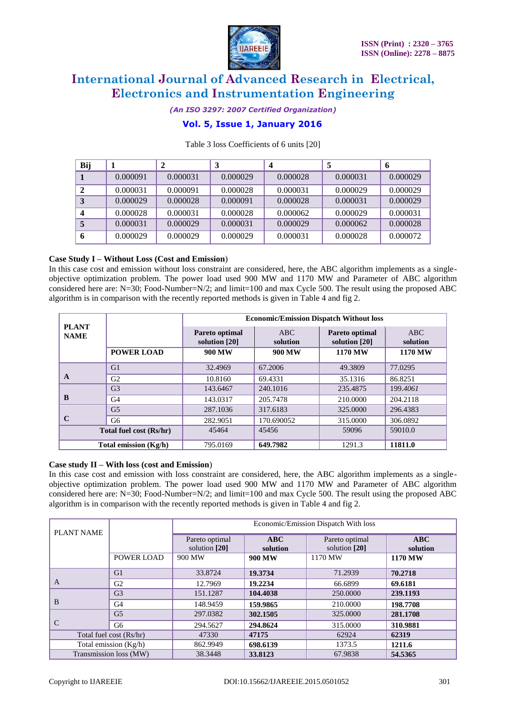

*(An ISO 3297: 2007 Certified Organization)*

# **Vol. 5, Issue 1, January 2016**

| Bij |          | 2        | 3        |          |          | 6        |
|-----|----------|----------|----------|----------|----------|----------|
|     | 0.000091 | 0.000031 | 0.000029 | 0.000028 | 0.000031 | 0.000029 |
|     | 0.000031 | 0.000091 | 0.000028 | 0.000031 | 0.000029 | 0.000029 |
|     | 0.000029 | 0.000028 | 0.000091 | 0.000028 | 0.000031 | 0.000029 |
|     | 0.000028 | 0.000031 | 0.000028 | 0.000062 | 0.000029 | 0.000031 |
|     | 0.000031 | 0.000029 | 0.000031 | 0.000029 | 0.000062 | 0.000028 |
| 6   | 0.000029 | 0.000029 | 0.000029 | 0.000031 | 0.000028 | 0.000072 |

# Table 3 loss Coefficients of 6 units [20]

# **Case Study I – Without Loss (Cost and Emission**)

In this case cost and emission without loss constraint are considered, here, the ABC algorithm implements as a singleobjective optimization problem. The power load used 900 MW and 1170 MW and Parameter of ABC algorithm considered here are: N=30; Food-Number=N/2; and limit=100 and max Cycle 500. The result using the proposed ABC algorithm is in comparison with the recently reported methods is given in Table 4 and fig 2.

|                             |                   | <b>Economic/Emission Dispatch Without loss</b> |                 |                                 |                 |  |  |  |
|-----------------------------|-------------------|------------------------------------------------|-----------------|---------------------------------|-----------------|--|--|--|
| <b>PLANT</b><br><b>NAME</b> |                   | Pareto optimal<br>solution [20]                | ABC<br>solution | Pareto optimal<br>solution [20] | ABC<br>solution |  |  |  |
|                             | <b>POWER LOAD</b> | 900 MW                                         | 900 MW          | 1170 MW                         | <b>1170 MW</b>  |  |  |  |
| A                           | G1                | 32.4969                                        | 67.2006         | 49.3809                         | 77.0295         |  |  |  |
|                             | G <sub>2</sub>    | 10.8160                                        | 69.4331         | 35.1316                         | 86.8251         |  |  |  |
| B                           | G <sub>3</sub>    | 143.6467                                       | 240.1016        | 235.4875                        | 199.4061        |  |  |  |
|                             | G <sub>4</sub>    | 143.0317                                       | 205,7478        | 210.0000                        | 204.2118        |  |  |  |
| C                           | G <sub>5</sub>    | 287.1036                                       | 317.6183        | 325,0000                        | 296.4383        |  |  |  |
|                             | G6                | 282.9051                                       | 170.690052      | 315,0000                        | 306.0892        |  |  |  |
| Total fuel cost (Rs/hr)     |                   | 45464                                          | 45456           | 59096                           | 59010.0         |  |  |  |
| Total emission (Kg/h)       |                   | 795.0169                                       | 649.7982        | 1291.3                          | 11811.0         |  |  |  |

# **Case study II – With loss (cost and Emission**)

In this case cost and emission with loss constraint are considered, here, the ABC algorithm implements as a singleobjective optimization problem. The power load used 900 MW and 1170 MW and Parameter of ABC algorithm considered here are: N=30; Food-Number=N/2; and limit=100 and max Cycle 500. The result using the proposed ABC algorithm is in comparison with the recently reported methods is given in Table 4 and fig 2.

| <b>PLANT NAME</b>       |                   | Economic/Emission Dispatch With loss |                 |                                 |                        |  |
|-------------------------|-------------------|--------------------------------------|-----------------|---------------------------------|------------------------|--|
|                         |                   | Pareto optimal<br>solution [20]      | ABC<br>solution | Pareto optimal<br>solution [20] | <b>ABC</b><br>solution |  |
|                         | <b>POWER LOAD</b> | 900 MW                               | 900 MW          | 1170 MW                         | 1170 MW                |  |
| A                       | G1                | 33.8724                              | 19.3734         | 71.2939                         | 70.2718                |  |
|                         | G2                | 12.7969                              | 19.2234         | 66.6899                         | 69.6181                |  |
| B                       | G <sub>3</sub>    | 151.1287                             | 104.4038        | 250,0000                        | 239.1193               |  |
|                         | G <sub>4</sub>    | 148.9459                             | 159.9865        | 210.0000                        | 198.7708               |  |
| C                       | G <sub>5</sub>    | 297.0382                             | 302.1505        | 325,0000                        | 281.1708               |  |
|                         | G <sub>6</sub>    | 294.5627                             | 294.8624        | 315,0000                        | 310.9881               |  |
| Total fuel cost (Rs/hr) |                   | 47330                                | 47175           | 62924                           | 62319                  |  |
| Total emission (Kg/h)   |                   | 862.9949                             | 698.6139        | 1373.5                          | 1211.6                 |  |
| Transmission loss (MW)  |                   | 38.3448                              | 33.8123         | 67.9838                         | 54.5365                |  |